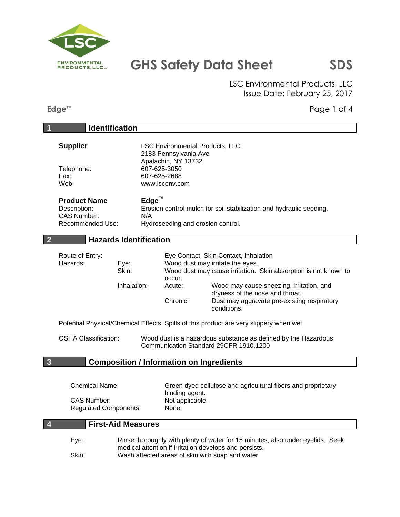

LSC Environmental Products, LLC Issue Date: February 25, 2017

**Edge™** Page 1 of 4

| $\overline{\phantom{a}}$                                                             | <b>Identification</b>                           |                                                                                                                                          |                                                                                                                                                                                                                                                                                                                                                                                      |  |
|--------------------------------------------------------------------------------------|-------------------------------------------------|------------------------------------------------------------------------------------------------------------------------------------------|--------------------------------------------------------------------------------------------------------------------------------------------------------------------------------------------------------------------------------------------------------------------------------------------------------------------------------------------------------------------------------------|--|
| <b>Supplier</b><br>Telephone:<br>Fax:<br>Web:                                        |                                                 | <b>LSC Environmental Products, LLC</b><br>2183 Pennsylvania Ave<br>Apalachin, NY 13732<br>607-625-3050<br>607-625-2688<br>www.lscenv.com |                                                                                                                                                                                                                                                                                                                                                                                      |  |
| <b>Product Name</b><br>Description:<br><b>CAS Number:</b><br>N/A<br>Recommended Use: |                                                 | $Edge^{\mathsf{m}}$<br>Erosion control mulch for soil stabilization and hydraulic seeding.<br>Hydroseeding and erosion control.          |                                                                                                                                                                                                                                                                                                                                                                                      |  |
| $\overline{2}$                                                                       | <b>Hazards Identification</b>                   |                                                                                                                                          |                                                                                                                                                                                                                                                                                                                                                                                      |  |
| Route of Entry:<br>Hazards:                                                          | Eye:<br>Skin:<br>Inhalation:                    | occur.<br>Acute:<br>Chronic:                                                                                                             | Eye Contact, Skin Contact, Inhalation<br>Wood dust may irritate the eyes.<br>Wood dust may cause irritation. Skin absorption is not known to<br>Wood may cause sneezing, irritation, and<br>dryness of the nose and throat.<br>Dust may aggravate pre-existing respiratory<br>conditions.<br>Potential Physical/Chemical Effects: Spills of this product are very slippery when wet. |  |
| <b>OSHA Classification:</b>                                                          |                                                 |                                                                                                                                          | Wood dust is a hazardous substance as defined by the Hazardous<br>Communication Standard 29CFR 1910.1200                                                                                                                                                                                                                                                                             |  |
| $\overline{\mathbf{3}}$                                                              | <b>Composition / Information on Ingredients</b> |                                                                                                                                          |                                                                                                                                                                                                                                                                                                                                                                                      |  |
| <b>Chemical Name:</b><br><b>CAS Number:</b><br><b>Regulated Components:</b>          |                                                 | None.                                                                                                                                    | Green dyed cellulose and agricultural fibers and proprietary<br>binding agent.<br>Not applicable.                                                                                                                                                                                                                                                                                    |  |
| $\overline{4}$                                                                       | <b>First-Aid Measures</b>                       |                                                                                                                                          |                                                                                                                                                                                                                                                                                                                                                                                      |  |
| Eye:<br>Skin:                                                                        |                                                 |                                                                                                                                          | Rinse thoroughly with plenty of water for 15 minutes, also under eyelids. Seek<br>medical attention if irritation develops and persists.<br>Wash affected areas of skin with soap and water.                                                                                                                                                                                         |  |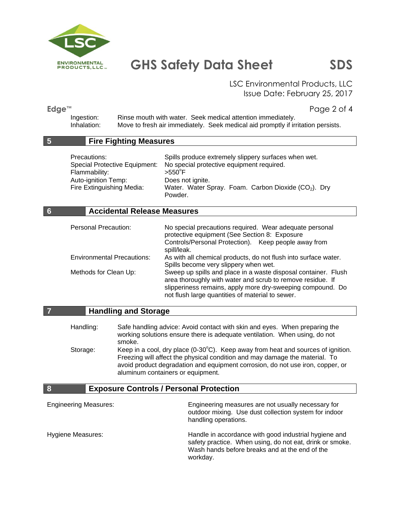

LSC Environmental Products, LLC Issue Date: February 25, 2017

**Edge™** Page 2 of 4

Ingestion: Rinse mouth with water. Seek medical attention immediately. Inhalation: Move to fresh air immediately. Seek medical aid promptly if irritation persists.

#### **5 Fire Fighting Measures**

| Precautions:              | Spills produce extremely slippery surfaces when wet.                    |  |
|---------------------------|-------------------------------------------------------------------------|--|
|                           | Special Protective Equipment: No special protective equipment required. |  |
| Flammability:             | $>550^{\circ}$ F                                                        |  |
| Auto-ignition Temp:       | Does not ignite.                                                        |  |
| Fire Extinguishing Media: | Water. Water Spray. Foam. Carbon Dioxide (CO <sub>2</sub> ). Dry        |  |
|                           | Powder.                                                                 |  |

#### **6 Accidental Release Measures**

| <b>Personal Precaution:</b>       | No special precautions required. Wear adequate personal<br>protective equipment (See Section 8: Exposure                                                                                                                                       |
|-----------------------------------|------------------------------------------------------------------------------------------------------------------------------------------------------------------------------------------------------------------------------------------------|
|                                   | Controls/Personal Protection). Keep people away from<br>spill/leak.                                                                                                                                                                            |
| <b>Environmental Precautions:</b> | As with all chemical products, do not flush into surface water.<br>Spills become very slippery when wet.                                                                                                                                       |
| Methods for Clean Up:             | Sweep up spills and place in a waste disposal container. Flush<br>area thoroughly with water and scrub to remove residue. If<br>slipperiness remains, apply more dry-sweeping compound. Do<br>not flush large quantities of material to sewer. |

#### **7 Handling and Storage**

Handling: Safe handling advice: Avoid contact with skin and eyes. When preparing the working solutions ensure there is adequate ventilation. When using, do not smoke. Storage: Keep in a cool, dry place  $(0-30^{\circ}C)$ . Keep away from heat and sources of ignition. Freezing will affect the physical condition and may damage the material. To avoid product degradation and equipment corrosion, do not use iron, copper, or

#### **8 Exposure Controls / Personal Protection**

aluminum containers or equipment.

| <b>Engineering Measures:</b> | Engineering measures are not usually necessary for<br>outdoor mixing. Use dust collection system for indoor<br>handling operations.                                             |
|------------------------------|---------------------------------------------------------------------------------------------------------------------------------------------------------------------------------|
| Hygiene Measures:            | Handle in accordance with good industrial hygiene and<br>safety practice. When using, do not eat, drink or smoke.<br>Wash hands before breaks and at the end of the<br>workday. |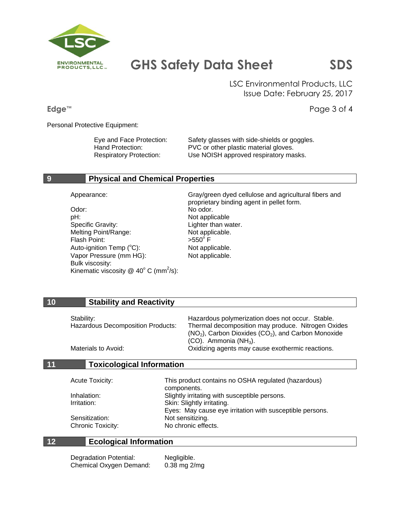

LSC Environmental Products, LLC Issue Date: February 25, 2017

**Edge™** Page 3 of 4

Personal Protective Equipment:

Eye and Face Protection: Safety glasses with side-shields or goggles.<br>
Hand Protection: PVC or other plastic material gloves. PVC or other plastic material gloves. Respiratory Protection: Use NOISH approved respiratory masks.

#### **9 Physical and Chemical Properties**

Odor: No odor. pH: Not applicable Specific Gravity: Specific Gravity: Lighter than water. Melting Point/Range: Not applicable. Flash Point: Auto-ignition  $Temp (°C)$ : Not applicable. Vapor Pressure (mm HG): Not applicable. Bulk viscosity: Kinematic viscosity @ 40 $^{\circ}$  C (mm<sup>2</sup>/s):

Appearance: Gray/green dyed cellulose and agricultural fibers and proprietary binding agent in pellet form.  $>550^\circ$  F

#### **10 Stability and Reactivity**

| Stability:                               | Hazardous polymerization does not occur. Stable.        |
|------------------------------------------|---------------------------------------------------------|
| <b>Hazardous Decomposition Products:</b> | Thermal decomposition may produce. Nitrogen Oxides      |
|                                          | $(NO2)$ , Carbon Dioxides $(CO2)$ , and Carbon Monoxide |
|                                          | $(CO)$ . Ammonia $(NH_3)$ .                             |
| Materials to Avoid:                      | Oxidizing agents may cause exothermic reactions.        |

### **11 Toxicological Information**

| This product contains no OSHA regulated (hazardous)      |
|----------------------------------------------------------|
| components.                                              |
| Slightly irritating with susceptible persons.            |
| Skin: Slightly irritating.                               |
| Eyes: May cause eye irritation with susceptible persons. |
| Not sensitizing.                                         |
| No chronic effects.                                      |
|                                                          |

### **12 Ecological Information**

| Degradation Potential:  | Negligible.  |
|-------------------------|--------------|
| Chemical Oxygen Demand: | 0.38 mg 2/mg |